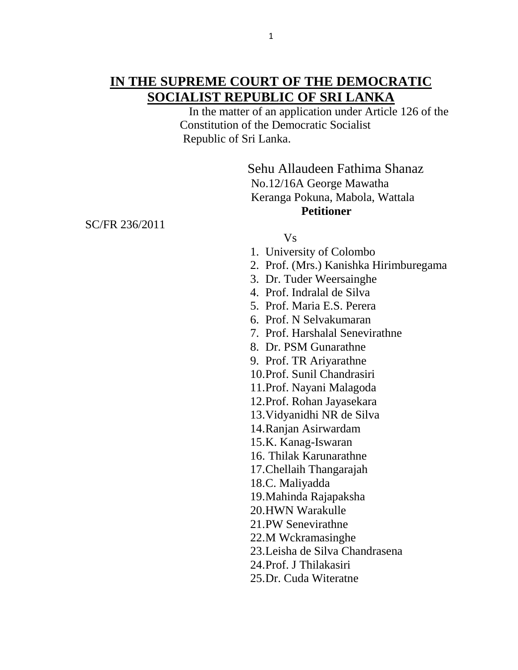In the matter of an application under Article 126 of the Constitution of the Democratic Socialist Republic of Sri Lanka.

> Sehu Allaudeen Fathima Shanaz No.12/16A George Mawatha Keranga Pokuna, Mabola, Wattala **Petitioner**

SC/FR 236/2011

## Vs

- 1. University of Colombo
- 2. Prof. (Mrs.) Kanishka Hirimburegama
- 3. Dr. Tuder Weersainghe
- 4. Prof. Indralal de Silva
- 5. Prof. Maria E.S. Perera
- 6. Prof. N Selvakumaran
- 7. Prof. Harshalal Senevirathne
- 8. Dr. PSM Gunarathne
- 9. Prof. TR Ariyarathne
- 10.Prof. Sunil Chandrasiri
- 11.Prof. Nayani Malagoda
- 12.Prof. Rohan Jayasekara
- 13.Vidyanidhi NR de Silva
- 14.Ranjan Asirwardam
- 15.K. Kanag-Iswaran
- 16. Thilak Karunarathne
- 17.Chellaih Thangarajah
- 18.C. Maliyadda
- 19.Mahinda Rajapaksha
- 20.HWN Warakulle
- 21.PW Senevirathne
- 22.M Wckramasinghe
- 23.Leisha de Silva Chandrasena
- 24.Prof. J Thilakasiri
- 25.Dr. Cuda Witeratne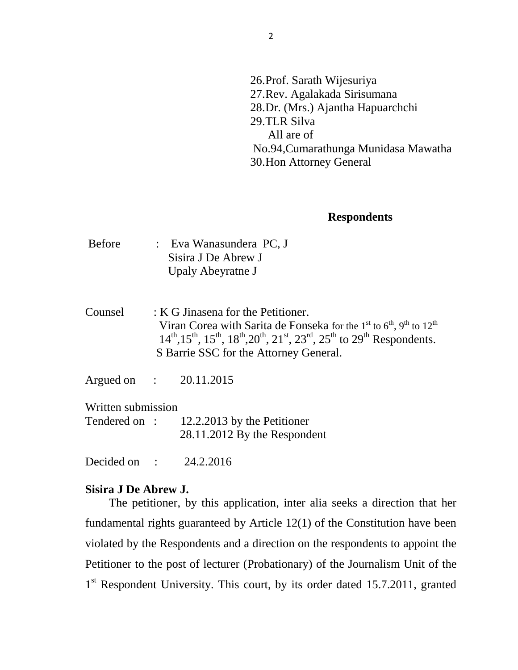26.Prof. Sarath Wijesuriya 27.Rev. Agalakada Sirisumana 28.Dr. (Mrs.) Ajantha Hapuarchchi 29.TLR Silva All are of No.94,Cumarathunga Munidasa Mawatha 30.Hon Attorney General

## **Respondents**

- Before : Eva Wanasundera PC, J Sisira J De Abrew J Upaly Abeyratne J
- Counsel : K G Jinasena for the Petitioner. Viran Corea with Sarita de Fonseka for the 1<sup>st</sup> to  $6<sup>th</sup>$ , 9<sup>th</sup> to 12<sup>th</sup>  $14^{th}$ ,  $15^{th}$ ,  $15^{th}$ ,  $18^{th}$ ,  $20^{th}$ ,  $21^{st}$ ,  $23^{rd}$ ,  $25^{th}$  to  $29^{th}$  Respondents. S Barrie SSC for the Attorney General.
- Argued on : 20.11.2015

Written submission

| Tendered on: | 12.2.2013 by the Petitioner  |
|--------------|------------------------------|
|              | 28.11.2012 By the Respondent |

Decided on : 24.2.2016

## **Sisira J De Abrew J.**

 The petitioner, by this application, inter alia seeks a direction that her fundamental rights guaranteed by Article 12(1) of the Constitution have been violated by the Respondents and a direction on the respondents to appoint the Petitioner to the post of lecturer (Probationary) of the Journalism Unit of the 1<sup>st</sup> Respondent University. This court, by its order dated 15.7.2011, granted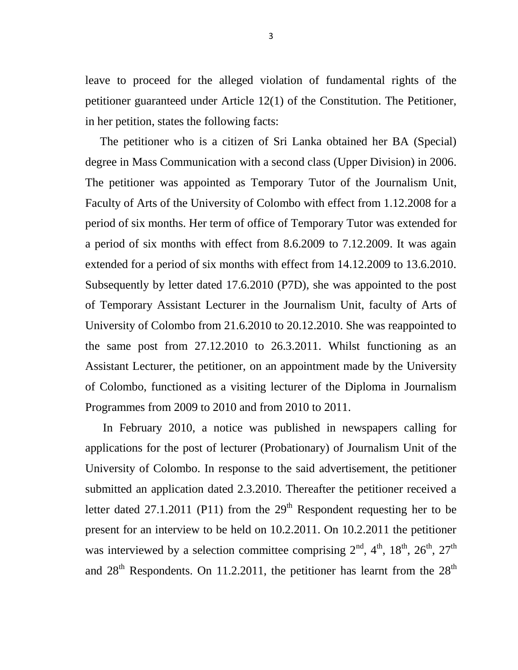leave to proceed for the alleged violation of fundamental rights of the petitioner guaranteed under Article 12(1) of the Constitution. The Petitioner, in her petition, states the following facts:

 The petitioner who is a citizen of Sri Lanka obtained her BA (Special) degree in Mass Communication with a second class (Upper Division) in 2006. The petitioner was appointed as Temporary Tutor of the Journalism Unit, Faculty of Arts of the University of Colombo with effect from 1.12.2008 for a period of six months. Her term of office of Temporary Tutor was extended for a period of six months with effect from 8.6.2009 to 7.12.2009. It was again extended for a period of six months with effect from 14.12.2009 to 13.6.2010. Subsequently by letter dated 17.6.2010 (P7D), she was appointed to the post of Temporary Assistant Lecturer in the Journalism Unit, faculty of Arts of University of Colombo from 21.6.2010 to 20.12.2010. She was reappointed to the same post from 27.12.2010 to 26.3.2011. Whilst functioning as an Assistant Lecturer, the petitioner, on an appointment made by the University of Colombo, functioned as a visiting lecturer of the Diploma in Journalism Programmes from 2009 to 2010 and from 2010 to 2011.

 In February 2010, a notice was published in newspapers calling for applications for the post of lecturer (Probationary) of Journalism Unit of the University of Colombo. In response to the said advertisement, the petitioner submitted an application dated 2.3.2010. Thereafter the petitioner received a letter dated 27.1.2011 (P11) from the  $29<sup>th</sup>$  Respondent requesting her to be present for an interview to be held on 10.2.2011. On 10.2.2011 the petitioner was interviewed by a selection committee comprising  $2<sup>nd</sup>$ ,  $4<sup>th</sup>$ ,  $18<sup>th</sup>$ ,  $26<sup>th</sup>$ ,  $27<sup>th</sup>$ and  $28<sup>th</sup>$  Respondents. On 11.2.2011, the petitioner has learnt from the  $28<sup>th</sup>$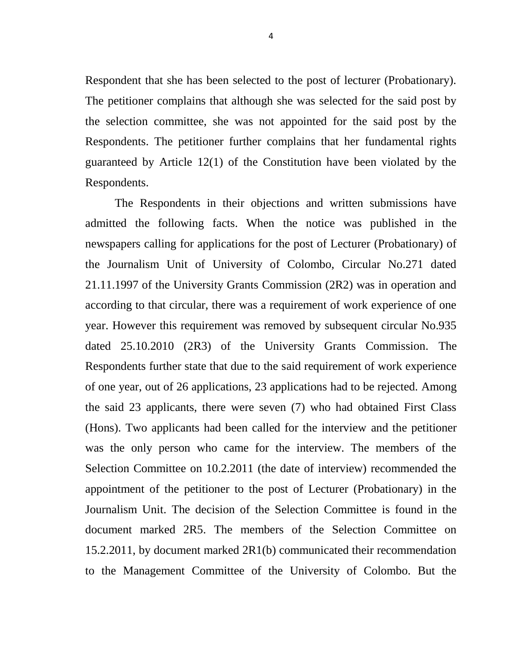Respondent that she has been selected to the post of lecturer (Probationary). The petitioner complains that although she was selected for the said post by the selection committee, she was not appointed for the said post by the Respondents. The petitioner further complains that her fundamental rights guaranteed by Article 12(1) of the Constitution have been violated by the Respondents.

 The Respondents in their objections and written submissions have admitted the following facts. When the notice was published in the newspapers calling for applications for the post of Lecturer (Probationary) of the Journalism Unit of University of Colombo, Circular No.271 dated 21.11.1997 of the University Grants Commission (2R2) was in operation and according to that circular, there was a requirement of work experience of one year. However this requirement was removed by subsequent circular No.935 dated 25.10.2010 (2R3) of the University Grants Commission. The Respondents further state that due to the said requirement of work experience of one year, out of 26 applications, 23 applications had to be rejected. Among the said 23 applicants, there were seven (7) who had obtained First Class (Hons). Two applicants had been called for the interview and the petitioner was the only person who came for the interview. The members of the Selection Committee on 10.2.2011 (the date of interview) recommended the appointment of the petitioner to the post of Lecturer (Probationary) in the Journalism Unit. The decision of the Selection Committee is found in the document marked 2R5. The members of the Selection Committee on 15.2.2011, by document marked 2R1(b) communicated their recommendation to the Management Committee of the University of Colombo. But the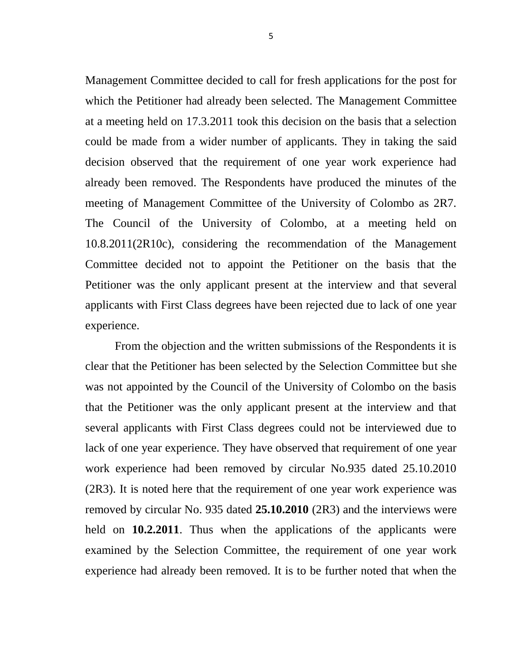Management Committee decided to call for fresh applications for the post for which the Petitioner had already been selected. The Management Committee at a meeting held on 17.3.2011 took this decision on the basis that a selection could be made from a wider number of applicants. They in taking the said decision observed that the requirement of one year work experience had already been removed. The Respondents have produced the minutes of the meeting of Management Committee of the University of Colombo as 2R7. The Council of the University of Colombo, at a meeting held on 10.8.2011(2R10c), considering the recommendation of the Management Committee decided not to appoint the Petitioner on the basis that the Petitioner was the only applicant present at the interview and that several applicants with First Class degrees have been rejected due to lack of one year experience.

 From the objection and the written submissions of the Respondents it is clear that the Petitioner has been selected by the Selection Committee but she was not appointed by the Council of the University of Colombo on the basis that the Petitioner was the only applicant present at the interview and that several applicants with First Class degrees could not be interviewed due to lack of one year experience. They have observed that requirement of one year work experience had been removed by circular No.935 dated 25.10.2010 (2R3). It is noted here that the requirement of one year work experience was removed by circular No. 935 dated **25.10.2010** (2R3) and the interviews were held on **10.2.2011**. Thus when the applications of the applicants were examined by the Selection Committee, the requirement of one year work experience had already been removed. It is to be further noted that when the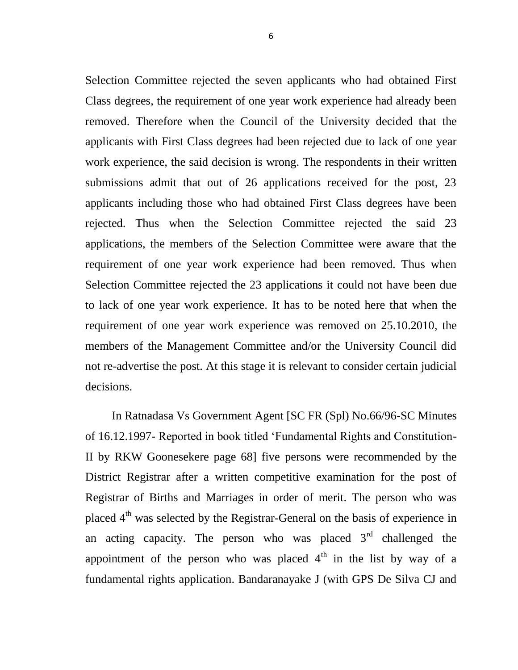Selection Committee rejected the seven applicants who had obtained First Class degrees, the requirement of one year work experience had already been removed. Therefore when the Council of the University decided that the applicants with First Class degrees had been rejected due to lack of one year work experience, the said decision is wrong. The respondents in their written submissions admit that out of 26 applications received for the post, 23 applicants including those who had obtained First Class degrees have been rejected. Thus when the Selection Committee rejected the said 23 applications, the members of the Selection Committee were aware that the requirement of one year work experience had been removed. Thus when Selection Committee rejected the 23 applications it could not have been due to lack of one year work experience. It has to be noted here that when the requirement of one year work experience was removed on 25.10.2010, the members of the Management Committee and/or the University Council did not re-advertise the post. At this stage it is relevant to consider certain judicial decisions.

 In Ratnadasa Vs Government Agent [SC FR (Spl) No.66/96-SC Minutes of 16.12.1997- Reported in book titled "Fundamental Rights and Constitution-II by RKW Goonesekere page 68] five persons were recommended by the District Registrar after a written competitive examination for the post of Registrar of Births and Marriages in order of merit. The person who was placed 4<sup>th</sup> was selected by the Registrar-General on the basis of experience in an acting capacity. The person who was placed  $3<sup>rd</sup>$  challenged the appointment of the person who was placed  $4<sup>th</sup>$  in the list by way of a fundamental rights application. Bandaranayake J (with GPS De Silva CJ and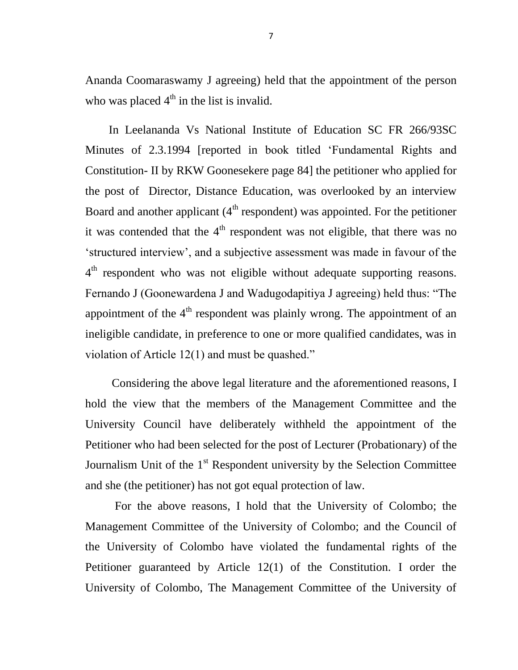Ananda Coomaraswamy J agreeing) held that the appointment of the person who was placed  $4<sup>th</sup>$  in the list is invalid.

 In Leelananda Vs National Institute of Education SC FR 266/93SC Minutes of 2.3.1994 [reported in book titled "Fundamental Rights and Constitution- II by RKW Goonesekere page 84] the petitioner who applied for the post of Director, Distance Education, was overlooked by an interview Board and another applicant  $(4<sup>th</sup>$  respondent) was appointed. For the petitioner it was contended that the  $4<sup>th</sup>$  respondent was not eligible, that there was no "structured interview", and a subjective assessment was made in favour of the 4<sup>th</sup> respondent who was not eligible without adequate supporting reasons. Fernando J (Goonewardena J and Wadugodapitiya J agreeing) held thus: "The appointment of the  $4<sup>th</sup>$  respondent was plainly wrong. The appointment of an ineligible candidate, in preference to one or more qualified candidates, was in violation of Article 12(1) and must be quashed."

 Considering the above legal literature and the aforementioned reasons, I hold the view that the members of the Management Committee and the University Council have deliberately withheld the appointment of the Petitioner who had been selected for the post of Lecturer (Probationary) of the Journalism Unit of the  $1<sup>st</sup>$  Respondent university by the Selection Committee and she (the petitioner) has not got equal protection of law.

 For the above reasons, I hold that the University of Colombo; the Management Committee of the University of Colombo; and the Council of the University of Colombo have violated the fundamental rights of the Petitioner guaranteed by Article 12(1) of the Constitution. I order the University of Colombo, The Management Committee of the University of